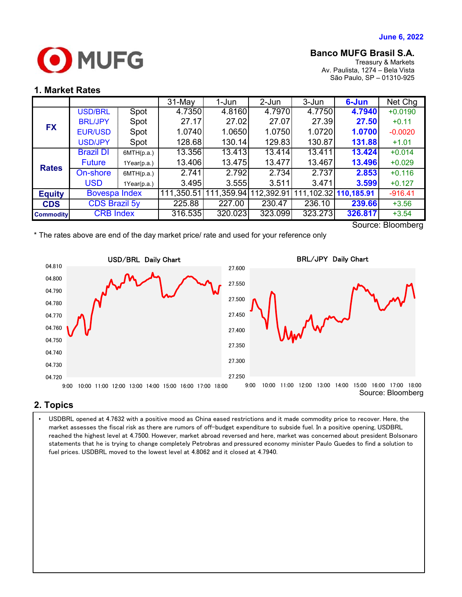

## **Banco MUFG Brasil S.A.**

Treasury & Markets Av. Paulista, 1274 – Bela Vista São Paulo, SP – 01310-925

#### **1. Market Rates**

|                  |                      |             | $31-May$   | 1-Jun      | 2-Jun      | 3-Jun                 | 6-Jun   | Net Chg   |
|------------------|----------------------|-------------|------------|------------|------------|-----------------------|---------|-----------|
| <b>FX</b>        | <b>USD/BRL</b>       | Spot        | 4.7350     | 4.8160     | 4.7970     | 4.7750                | 4.7940  | $+0.0190$ |
|                  | <b>BRL/JPY</b>       | Spot        | 27.17      | 27.02      | 27.07      | 27.39                 | 27.50   | $+0.11$   |
|                  | <b>EUR/USD</b>       | Spot        | 1.0740     | 1.0650     | 1.0750     | 1.0720                | 1.0700  | $-0.0020$ |
|                  | <b>USD/JPY</b>       | Spot        | 128.68     | 130.14     | 129.83     | 130.87                | 131.88  | $+1.01$   |
| <b>Rates</b>     | <b>Brazil DI</b>     | 6MTH(p.a.)  | 13.356     | 13.413     | 13.414     | 13.411                | 13.424  | $+0.014$  |
|                  | <b>Future</b>        | 1Year(p.a.) | 13.406     | 13.475     | 13.477     | 13.467                | 13.496  | $+0.029$  |
|                  | On-shore             | 6MTH(p.a.)  | 2.741      | 2.792      | 2.734      | 2.737                 | 2.853   | $+0.116$  |
|                  | <b>USD</b>           | 1Year(p.a.) | 3.495      | 3.555      | 3.511      | 3.471                 | 3.599   | $+0.127$  |
| <b>Equity</b>    | <b>Bovespa Index</b> |             | 111,350.51 | 111,359.94 | 112,392.91 | 111,102.32 110,185.91 |         | $-916.41$ |
| <b>CDS</b>       | <b>CDS Brazil 5y</b> |             | 225.88     | 227.00     | 230.47     | 236.10                | 239.66  | $+3.56$   |
| <b>Commodity</b> | <b>CRB Index</b>     |             | 316.535    | 320.023    | 323.099    | 323.273               | 326.817 | $+3.54$   |

Source: Bloomberg

\* The rates above are end of the day market price/ rate and used for your reference only



### **2. Topics**

 statements that he is trying to change completely Petrobras and pressured economy minister Paulo Guedes to find a solution to • USDBRL opened at 4.7632 with a positive mood as China eased restrictions and it made commodity price to recover. Here, the market assesses the fiscal risk as there are rumors of off-budget expenditure to subside fuel. In a positive opening, USDBRL reached the highest level at 4.7500. However, market abroad reversed and here, market was concerned about president Bolsonaro fuel prices. USDBRL moved to the lowest level at 4.8062 and it closed at 4.7940.